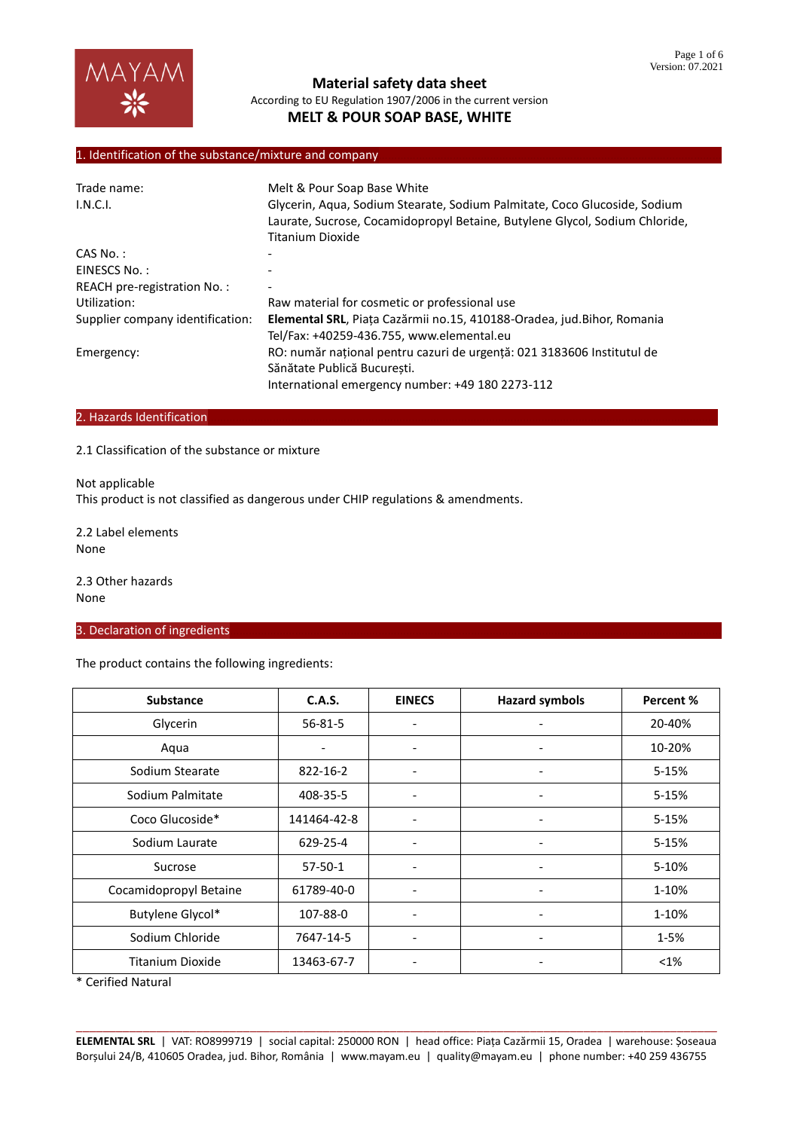

## 1. Identification of the substance/mixture and company

| Melt & Pour Soap Base White                                                                                                                                                  |
|------------------------------------------------------------------------------------------------------------------------------------------------------------------------------|
| Glycerin, Aqua, Sodium Stearate, Sodium Palmitate, Coco Glucoside, Sodium<br>Laurate, Sucrose, Cocamidopropyl Betaine, Butylene Glycol, Sodium Chloride,<br>Titanium Dioxide |
|                                                                                                                                                                              |
|                                                                                                                                                                              |
|                                                                                                                                                                              |
| Raw material for cosmetic or professional use                                                                                                                                |
| Elemental SRL, Piața Cazărmii no.15, 410188-Oradea, jud.Bihor, Romania<br>Tel/Fax: +40259-436.755, www.elemental.eu                                                          |
| RO: număr național pentru cazuri de urgență: 021 3183606 Institutul de<br>Sănătate Publică Bucuresti.<br>International emergency number: +49 180 2273-112                    |
|                                                                                                                                                                              |

## 2. Hazards Identification

#### 2.1 Classification of the substance or mixture

Not applicable This product is not classified as dangerous under CHIP regulations & amendments.

2.2 Label elements None

2.3 Other hazards None

### 3. Declaration of ingredients

The product contains the following ingredients:

| <b>Substance</b>        | C.A.S.        | <b>EINECS</b>            | <b>Hazard symbols</b>        | Percent % |
|-------------------------|---------------|--------------------------|------------------------------|-----------|
| Glycerin                | $56 - 81 - 5$ |                          |                              | 20-40%    |
| Aqua                    |               | $\overline{\phantom{a}}$ | $\overline{\phantom{0}}$     | 10-20%    |
| Sodium Stearate         | 822-16-2      | $\overline{\phantom{a}}$ | -                            | 5-15%     |
| Sodium Palmitate        | 408-35-5      | $\overline{a}$           | -                            | 5-15%     |
| Coco Glucoside*         | 141464-42-8   | $\overline{a}$           | $\qquad \qquad \blacksquare$ | 5-15%     |
| Sodium Laurate          | 629-25-4      | $\overline{\phantom{0}}$ | $\qquad \qquad \blacksquare$ | 5-15%     |
| Sucrose                 | $57 - 50 - 1$ |                          |                              | 5-10%     |
| Cocamidopropyl Betaine  | 61789-40-0    | $\overline{\phantom{a}}$ | -                            | 1-10%     |
| Butylene Glycol*        | 107-88-0      | $\overline{\phantom{a}}$ | -                            | 1-10%     |
| Sodium Chloride         | 7647-14-5     | $\overline{\phantom{a}}$ | $\overline{\phantom{a}}$     | $1 - 5%$  |
| <b>Titanium Dioxide</b> | 13463-67-7    | $\overline{\phantom{a}}$ | -                            | $< 1\%$   |

\* Cerified Natural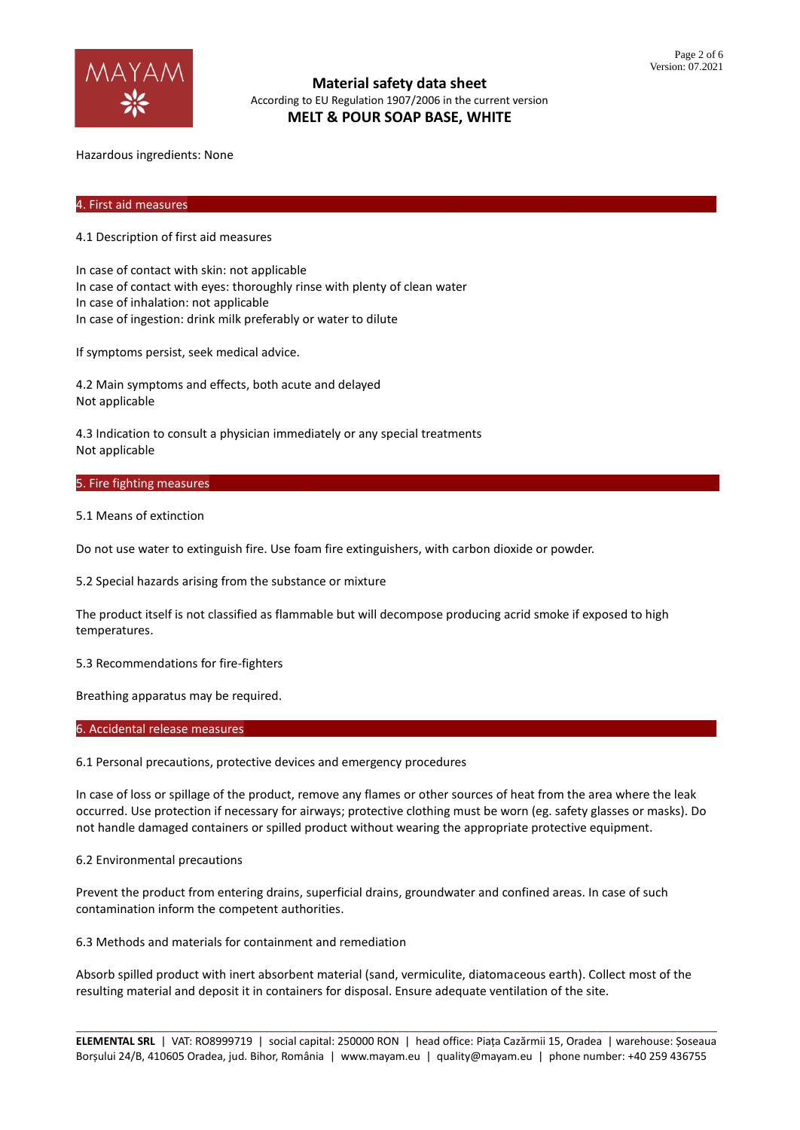

Hazardous ingredients: None

#### 4. First aid measures………………………………………………………………………………………………………………………………………………………

4.1 Description of first aid measures

In case of contact with skin: not applicable In case of contact with eyes: thoroughly rinse with plenty of clean water In case of inhalation: not applicable In case of ingestion: drink milk preferably or water to dilute

If symptoms persist, seek medical advice.

4.2 Main symptoms and effects, both acute and delayed Not applicable

4.3 Indication to consult a physician immediately or any special treatments Not applicable

## 5. Fire fighting measures

5.1 Means of extinction

Do not use water to extinguish fire. Use foam fire extinguishers, with carbon dioxide or powder.

5.2 Special hazards arising from the substance or mixture

The product itself is not classified as flammable but will decompose producing acrid smoke if exposed to high temperatures.

5.3 Recommendations for fire-fighters

Breathing apparatus may be required.

#### 6. Accidental release measures

6.1 Personal precautions, protective devices and emergency procedures

In case of loss or spillage of the product, remove any flames or other sources of heat from the area where the leak occurred. Use protection if necessary for airways; protective clothing must be worn (eg. safety glasses or masks). Do not handle damaged containers or spilled product without wearing the appropriate protective equipment.

6.2 Environmental precautions

Prevent the product from entering drains, superficial drains, groundwater and confined areas. In case of such contamination inform the competent authorities.

6.3 Methods and materials for containment and remediation

Absorb spilled product with inert absorbent material (sand, vermiculite, diatomaceous earth). Collect most of the resulting material and deposit it in containers for disposal. Ensure adequate ventilation of the site.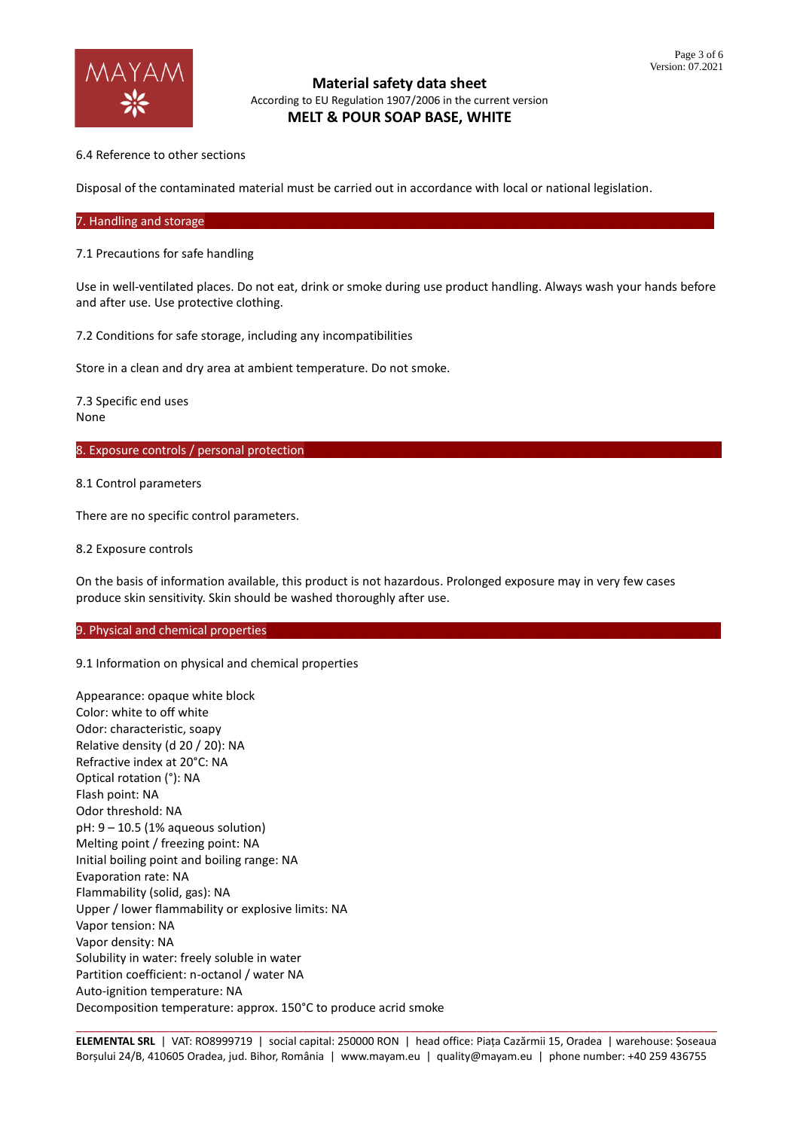

6.4 Reference to other sections

Disposal of the contaminated material must be carried out in accordance with local or national legislation.

7. Handling and storage

7.1 Precautions for safe handling

Use in well-ventilated places. Do not eat, drink or smoke during use product handling. Always wash your hands before and after use. Use protective clothing.

7.2 Conditions for safe storage, including any incompatibilities

Store in a clean and dry area at ambient temperature. Do not smoke.

7.3 Specific end uses None

8. Exposure controls / personal protection

8.1 Control parameters

There are no specific control parameters.

8.2 Exposure controls

On the basis of information available, this product is not hazardous. Prolonged exposure may in very few cases produce skin sensitivity. Skin should be washed thoroughly after use.

## 9. Physical and chemical properties

9.1 Information on physical and chemical properties

Appearance: opaque white block Color: white to off white Odor: characteristic, soapy Relative density (d 20 / 20): NA Refractive index at 20°C: NA Optical rotation (°): NA Flash point: NA Odor threshold: NA pH: 9 – 10.5 (1% aqueous solution) Melting point / freezing point: NA Initial boiling point and boiling range: NA Evaporation rate: NA Flammability (solid, gas): NA Upper / lower flammability or explosive limits: NA Vapor tension: NA Vapor density: NA Solubility in water: freely soluble in water Partition coefficient: n-octanol / water NA Auto-ignition temperature: NA Decomposition temperature: approx. 150°C to produce acrid smoke

\_\_\_\_\_\_\_\_\_\_\_\_\_\_\_\_\_\_\_\_\_\_\_\_\_\_\_\_\_\_\_\_\_\_\_\_\_\_\_\_\_\_\_\_\_\_\_\_\_\_\_\_\_\_\_\_\_\_\_\_\_\_\_\_\_\_\_\_\_\_\_\_\_\_\_\_\_\_\_\_\_\_\_\_\_\_\_\_\_\_\_\_\_\_\_\_ **ELEMENTAL SRL** | VAT: RO8999719 | social capital: 250000 RON | head office: Piața Cazărmii 15, Oradea | warehouse: Șoseaua Borșului 24/B, 410605 Oradea, jud. Bihor, România | www.mayam.eu | quality@mayam.eu | phone number: +40 259 436755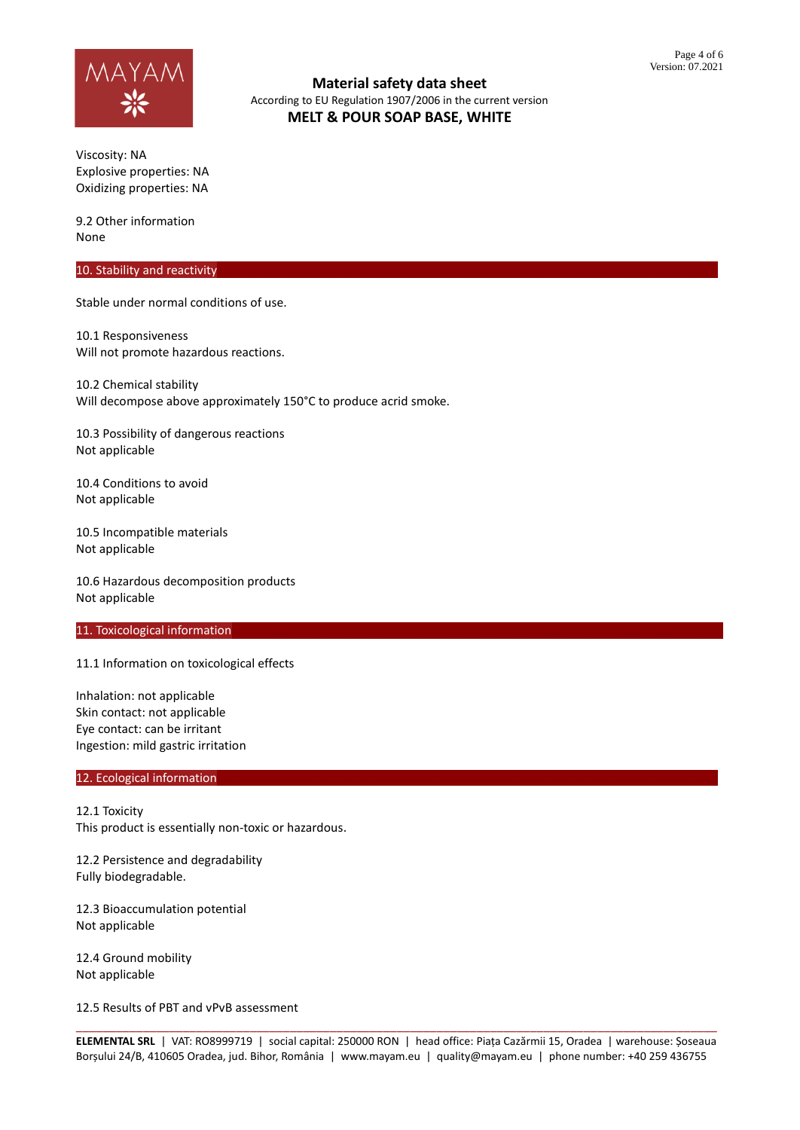

Viscosity: NA Explosive properties: NA Oxidizing properties: NA

9.2 Other information None

### 10. Stability and reactivity

Stable under normal conditions of use.

10.1 Responsiveness Will not promote hazardous reactions.

10.2 Chemical stability Will decompose above approximately 150°C to produce acrid smoke.

10.3 Possibility of dangerous reactions Not applicable

10.4 Conditions to avoid Not applicable

10.5 Incompatible materials Not applicable

10.6 Hazardous decomposition products Not applicable

### 11. Toxicological information

11.1 Information on toxicological effects

Inhalation: not applicable Skin contact: not applicable Eye contact: can be irritant Ingestion: mild gastric irritation

#### 12. Ecological information

12.1 Toxicity This product is essentially non-toxic or hazardous.

12.2 Persistence and degradability Fully biodegradable.

12.3 Bioaccumulation potential Not applicable

12.4 Ground mobility Not applicable

12.5 Results of PBT and vPvB assessment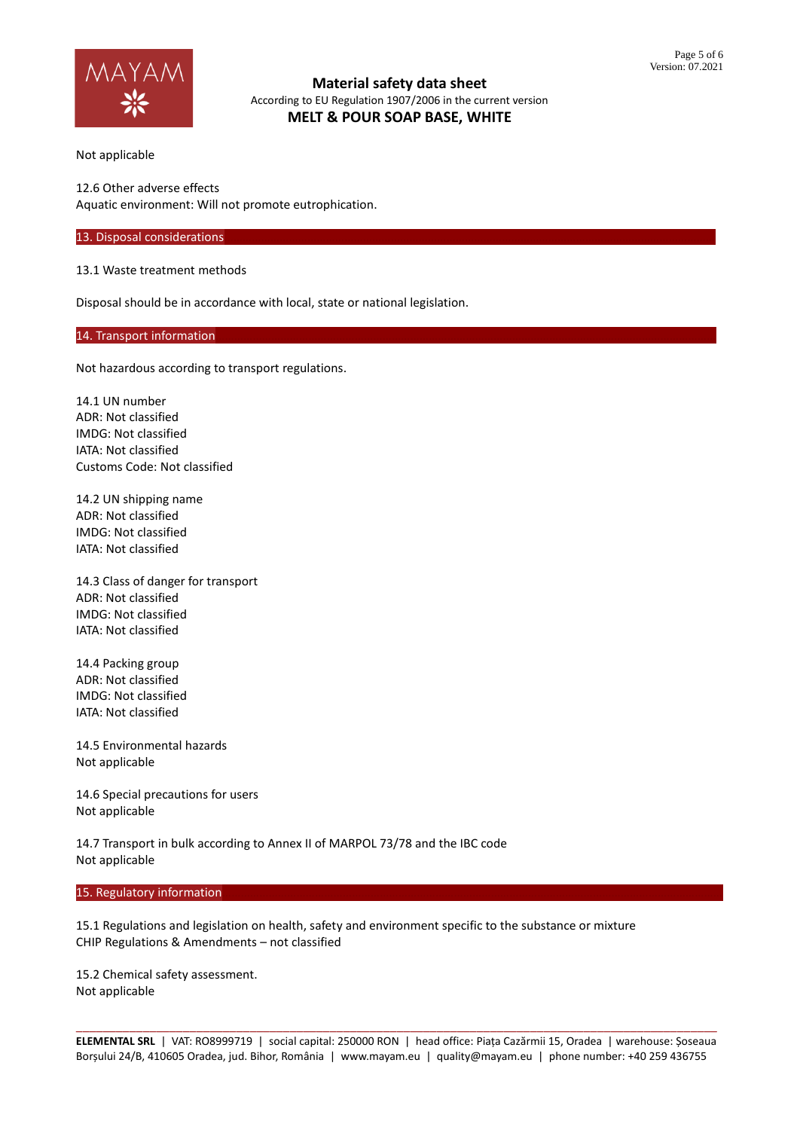

Not applicable

12.6 Other adverse effects Aquatic environment: Will not promote eutrophication.

13. Disposal considerations

13.1 Waste treatment methods

Disposal should be in accordance with local, state or national legislation.

14. Transport information

Not hazardous according to transport regulations.

14.1 UN number ADR: Not classified IMDG: Not classified IATA: Not classified Customs Code: Not classified

14.2 UN shipping name ADR: Not classified IMDG: Not classified IATA: Not classified

14.3 Class of danger for transport ADR: Not classified IMDG: Not classified IATA: Not classified

14.4 Packing group ADR: Not classified IMDG: Not classified IATA: Not classified

14.5 Environmental hazards Not applicable

14.6 Special precautions for users Not applicable

14.7 Transport in bulk according to Annex II of MARPOL 73/78 and the IBC code Not applicable

#### 15. Regulatory information

15.1 Regulations and legislation on health, safety and environment specific to the substance or mixture CHIP Regulations & Amendments – not classified

15.2 Chemical safety assessment. Not applicable

\_\_\_\_\_\_\_\_\_\_\_\_\_\_\_\_\_\_\_\_\_\_\_\_\_\_\_\_\_\_\_\_\_\_\_\_\_\_\_\_\_\_\_\_\_\_\_\_\_\_\_\_\_\_\_\_\_\_\_\_\_\_\_\_\_\_\_\_\_\_\_\_\_\_\_\_\_\_\_\_\_\_\_\_\_\_\_\_\_\_\_\_\_\_\_\_ **ELEMENTAL SRL** | VAT: RO8999719 | social capital: 250000 RON | head office: Piața Cazărmii 15, Oradea | warehouse: Șoseaua Borșului 24/B, 410605 Oradea, jud. Bihor, România | www.mayam.eu | quality@mayam.eu | phone number: +40 259 436755